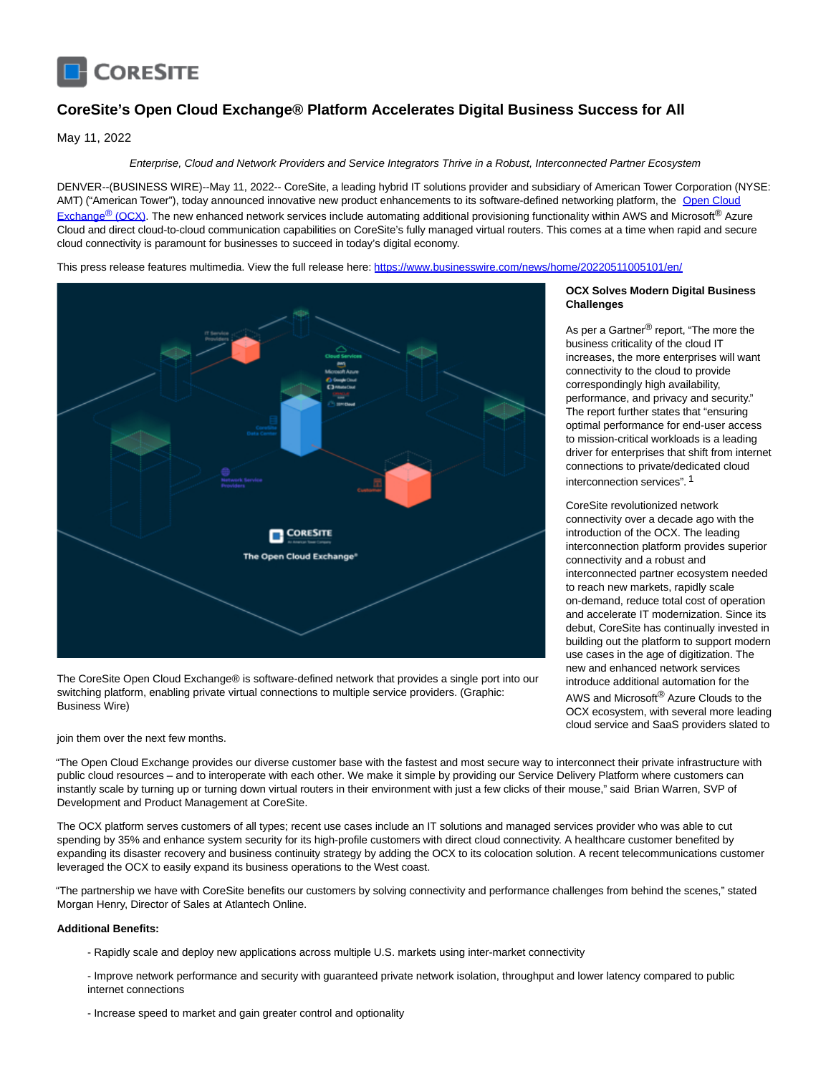

# **CoreSite's Open Cloud Exchange® Platform Accelerates Digital Business Success for All**

May 11, 2022

## Enterprise, Cloud and Network Providers and Service Integrators Thrive in a Robust, Interconnected Partner Ecosystem

DENVER--(BUSINESS WIRE)--May 11, 2022-- CoreSite, a leading hybrid IT solutions provider and subsidiary of American Tower Corporation (NYSE: AMT) ("A[merican Tower"\), today announced innovative new product enhancements to its software-defined networking platform, the Open Cloud](https://cts.businesswire.com/ct/CT?id=smartlink&url=https%3A%2F%2Fwww.coresite.com%2Fcloud-networking%2Fopen-cloud-exchange&esheet=52714677&newsitemid=20220511005101&lan=en-US&anchor=Open+Cloud+Exchange%26%23174%3B+%28OCX%29&index=1&md5=76a8567bf2d8a39c8f61aa9a80d45b14) Exchange<sup>®</sup> (OCX). The new enhanced network services include automating additional provisioning functionality within AWS and Microsoft<sup>®</sup> Azure Cloud and direct cloud-to-cloud communication capabilities on CoreSite's fully managed virtual routers. This comes at a time when rapid and secure cloud connectivity is paramount for businesses to succeed in today's digital economy.

This press release features multimedia. View the full release here:<https://www.businesswire.com/news/home/20220511005101/en/>



The CoreSite Open Cloud Exchange® is software-defined network that provides a single port into our switching platform, enabling private virtual connections to multiple service providers. (Graphic: Business Wire)

## join them over the next few months.

"The Open Cloud Exchange provides our diverse customer base with the fastest and most secure way to interconnect their private infrastructure with public cloud resources – and to interoperate with each other. We make it simple by providing our Service Delivery Platform where customers can instantly scale by turning up or turning down virtual routers in their environment with just a few clicks of their mouse," said Brian Warren, SVP of Development and Product Management at CoreSite.

The OCX platform serves customers of all types; recent use cases include an IT solutions and managed services provider who was able to cut spending by 35% and enhance system security for its high-profile customers with direct cloud connectivity. A healthcare customer benefited by expanding its disaster recovery and business continuity strategy by adding the OCX to its colocation solution. A recent telecommunications customer leveraged the OCX to easily expand its business operations to the West coast.

"The partnership we have with CoreSite benefits our customers by solving connectivity and performance challenges from behind the scenes," stated Morgan Henry, Director of Sales at Atlantech Online.

#### **Additional Benefits:**

- Rapidly scale and deploy new applications across multiple U.S. markets using inter-market connectivity

- Improve network performance and security with guaranteed private network isolation, throughput and lower latency compared to public internet connections

- Increase speed to market and gain greater control and optionality

# **OCX Solves Modern Digital Business Challenges**

As per a Gartner<sup>®</sup> report, "The more the business criticality of the cloud IT increases, the more enterprises will want connectivity to the cloud to provide correspondingly high availability, performance, and privacy and security." The report further states that "ensuring optimal performance for end-user access to mission-critical workloads is a leading driver for enterprises that shift from internet connections to private/dedicated cloud interconnection services". 1

CoreSite revolutionized network connectivity over a decade ago with the introduction of the OCX. The leading interconnection platform provides superior connectivity and a robust and interconnected partner ecosystem needed to reach new markets, rapidly scale on-demand, reduce total cost of operation and accelerate IT modernization. Since its debut, CoreSite has continually invested in building out the platform to support modern use cases in the age of digitization. The new and enhanced network services introduce additional automation for the AWS and Microsoft® Azure Clouds to the OCX ecosystem, with several more leading cloud service and SaaS providers slated to